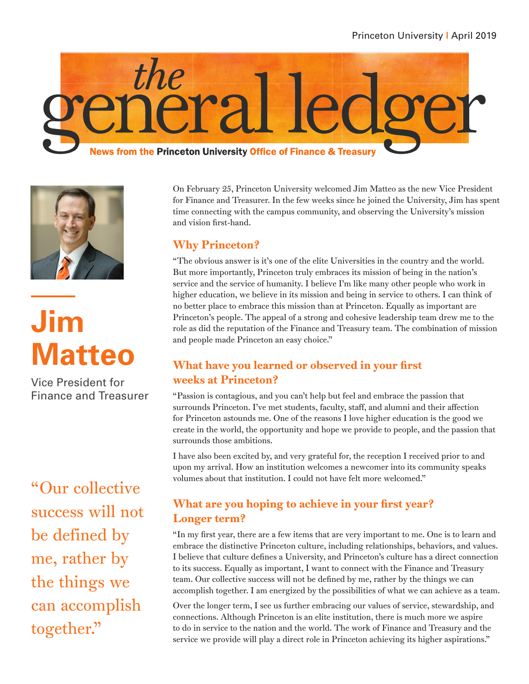



**Jim Matteo**

Vice President for Finance and Treasurer

"Our collective success will not be defined by me, rather by the things we can accomplish together."

On February 25, Princeton University welcomed Jim Matteo as the new Vice President for Finance and Treasurer. In the few weeks since he joined the University, Jim has spent time connecting with the campus community, and observing the University's mission and vision first-hand.

## Why Princeton?

"The obvious answer is it's one of the elite Universities in the country and the world. But more importantly, Princeton truly embraces its mission of being in the nation's service and the service of humanity. I believe I'm like many other people who work in higher education, we believe in its mission and being in service to others. I can think of no better place to embrace this mission than at Princeton. Equally as important are Princeton's people. The appeal of a strong and cohesive leadership team drew me to the role as did the reputation of the Finance and Treasury team. The combination of mission and people made Princeton an easy choice."

## What have you learned or observed in your first weeks at Princeton?

"Passion is contagious, and you can't help but feel and embrace the passion that surrounds Princeton. I've met students, faculty, staff, and alumni and their affection for Princeton astounds me. One of the reasons I love higher education is the good we create in the world, the opportunity and hope we provide to people, and the passion that surrounds those ambitions.

I have also been excited by, and very grateful for, the reception I received prior to and upon my arrival. How an institution welcomes a newcomer into its community speaks volumes about that institution. I could not have felt more welcomed."

## What are you hoping to achieve in your first year? Longer term?

"In my first year, there are a few items that are very important to me. One is to learn and embrace the distinctive Princeton culture, including relationships, behaviors, and values. I believe that culture defines a University, and Princeton's culture has a direct connection to its success. Equally as important, I want to connect with the Finance and Treasury team. Our collective success will not be defined by me, rather by the things we can accomplish together. I am energized by the possibilities of what we can achieve as a team.

Over the longer term, I see us further embracing our values of service, stewardship, and connections. Although Princeton is an elite institution, there is much more we aspire to do in service to the nation and the world. The work of Finance and Treasury and the service we provide will play a direct role in Princeton achieving its higher aspirations."